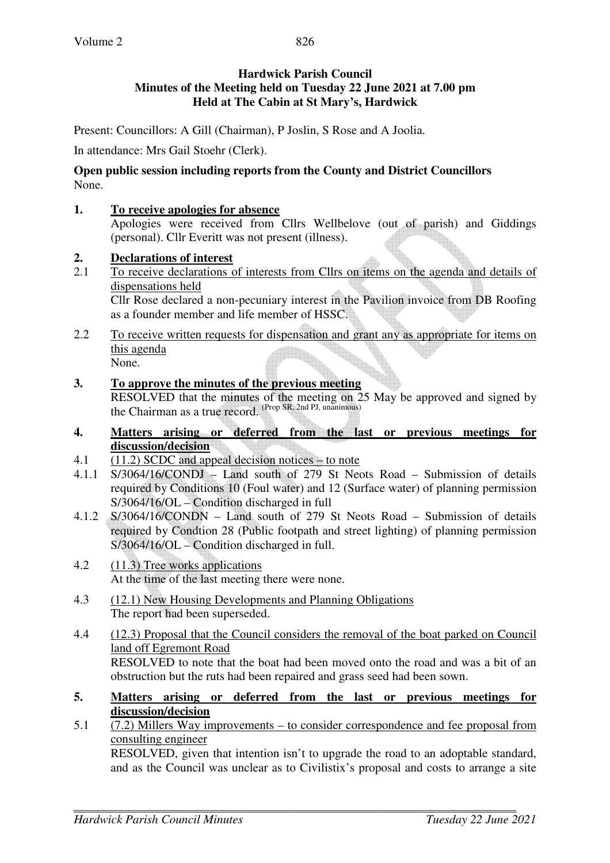### **Hardwick Parish Council Minutes of the Meeting held on Tuesday 22 June 2021 at 7.00 pm Held at The Cabin at St Mary's, Hardwick**

Present: Councillors: A Gill (Chairman), P Joslin, S Rose and A Joolia.

In attendance: Mrs Gail Stoehr (Clerk).

### **Open public session including reports from the County and District Councillors**  None.

## **1. To receive apologies for absence**

Apologies were received from Cllrs Wellbelove (out of parish) and Giddings (personal). Cllr Everitt was not present (illness).

## **2. Declarations of interest**

2.1 To receive declarations of interests from Cllrs on items on the agenda and details of dispensations held

Cllr Rose declared a non-pecuniary interest in the Pavilion invoice from DB Roofing as a founder member and life member of HSSC.

- 2.2 To receive written requests for dispensation and grant any as appropriate for items on this agenda None.
- **3. To approve the minutes of the previous meeting**  RESOLVED that the minutes of the meeting on 25 May be approved and signed by the Chairman as a true record. (Prop SR, 2nd PJ, unanimous)
- **4. Matters arising or deferred from the last or previous meetings for discussion/decision**
- 4.1 (11.2) SCDC and appeal decision notices to note
- 4.1.1 S/3064/16/CONDJ Land south of 279 St Neots Road Submission of details required by Conditions 10 (Foul water) and 12 (Surface water) of planning permission S/3064/16/OL – Condition discharged in full
- 4.1.2 S/3064/16/CONDN Land south of 279 St Neots Road Submission of details required by Condtion 28 (Public footpath and street lighting) of planning permission S/3064/16/OL – Condition discharged in full.
- 4.2 (11.3) Tree works applications At the time of the last meeting there were none.
- 4.3 (12.1) New Housing Developments and Planning Obligations The report had been superseded.
- 4.4 (12.3) Proposal that the Council considers the removal of the boat parked on Council land off Egremont Road RESOLVED to note that the boat had been moved onto the road and was a bit of an obstruction but the ruts had been repaired and grass seed had been sown.
- **5. Matters arising or deferred from the last or previous meetings for discussion/decision**
- 5.1 (7.2) Millers Way improvements to consider correspondence and fee proposal from consulting engineer RESOLVED, given that intention isn't to upgrade the road to an adoptable standard, and as the Council was unclear as to Civilistix's proposal and costs to arrange a site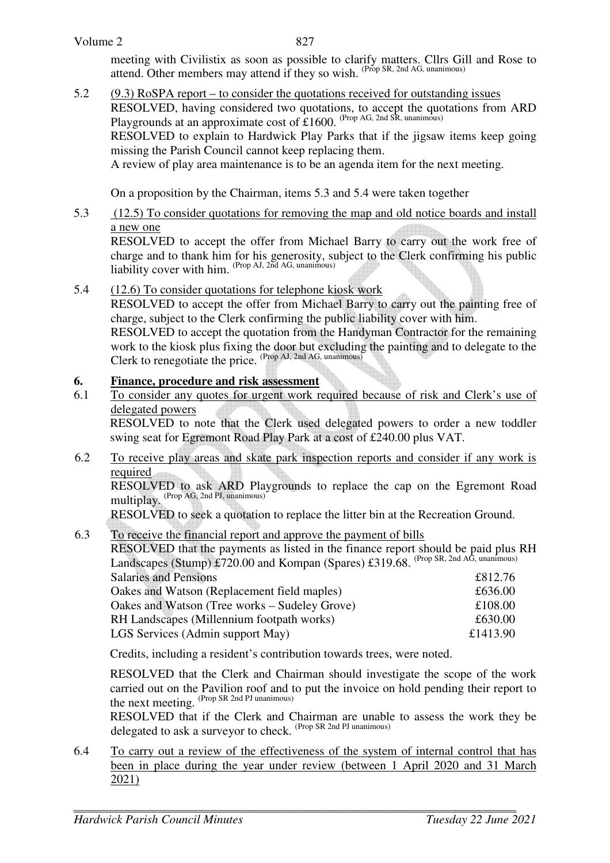### Volume 2

meeting with Civilistix as soon as possible to clarify matters. Cllrs Gill and Rose to attend. Other members may attend if they so wish. <sup>(Prop SR, 2nd AG, unanimous)</sup>

5.2 (9.3) RoSPA report – to consider the quotations received for outstanding issues RESOLVED, having considered two quotations, to accept the quotations from ARD Playgrounds at an approximate cost of £1600. (Prop AG, 2nd SR, unanimous) RESOLVED to explain to Hardwick Play Parks that if the jigsaw items keep going missing the Parish Council cannot keep replacing them. A review of play area maintenance is to be an agenda item for the next meeting.

On a proposition by the Chairman, items 5.3 and 5.4 were taken together

5.3 (12.5) To consider quotations for removing the map and old notice boards and install a new one

RESOLVED to accept the offer from Michael Barry to carry out the work free of charge and to thank him for his generosity, subject to the Clerk confirming his public liability cover with him. <sup>(Prop AJ, 2nd AG, unanimous)</sup>

5.4 (12.6) To consider quotations for telephone kiosk work

RESOLVED to accept the offer from Michael Barry to carry out the painting free of charge, subject to the Clerk confirming the public liability cover with him.

RESOLVED to accept the quotation from the Handyman Contractor for the remaining work to the kiosk plus fixing the door but excluding the painting and to delegate to the Clerk to renegotiate the price. (Prop AJ, 2nd AG, unanimous)

# **6. Finance, procedure and risk assessment**

6.1 To consider any quotes for urgent work required because of risk and Clerk's use of delegated powers

RESOLVED to note that the Clerk used delegated powers to order a new toddler swing seat for Egremont Road Play Park at a cost of £240.00 plus VAT.

6.2 To receive play areas and skate park inspection reports and consider if any work is required

RESOLVED to ask ARD Playgrounds to replace the cap on the Egremont Road multiplay. (Prop AG, 2nd PJ, unanimous)

RESOLVED to seek a quotation to replace the litter bin at the Recreation Ground.

6.3 To receive the financial report and approve the payment of bills

RESOLVED that the payments as listed in the finance report should be paid plus RH Landscapes (Stump) £720.00 and Kompan (Spares) £319.68. <sup>(Prop SR, 2nd AG, unanimous)</sup> Salaries and Pensions **£812.76** 

| Oakes and Watson (Replacement field maples)   | £636.00  |
|-----------------------------------------------|----------|
| Oakes and Watson (Tree works – Sudeley Grove) | £108.00  |
| RH Landscapes (Millennium footpath works)     | £630.00  |
| LGS Services (Admin support May)              | £1413.90 |
|                                               |          |

Credits, including a resident's contribution towards trees, were noted.

 RESOLVED that the Clerk and Chairman should investigate the scope of the work carried out on the Pavilion roof and to put the invoice on hold pending their report to the next meeting. (Prop SR 2nd PJ unanimous)

RESOLVED that if the Clerk and Chairman are unable to assess the work they be delegated to ask a surveyor to check. (Prop SR 2nd PJ unanimous)

6.4 To carry out a review of the effectiveness of the system of internal control that has been in place during the year under review (between 1 April 2020 and 31 March 2021)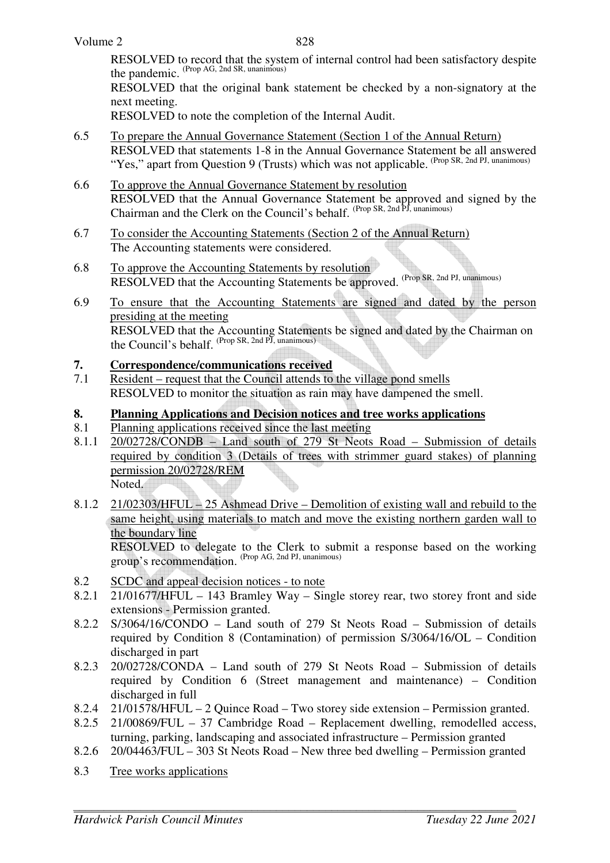RESOLVED to record that the system of internal control had been satisfactory despite the pandemic. (Prop AG, 2nd SR, unanimous)

RESOLVED that the original bank statement be checked by a non-signatory at the next meeting.

RESOLVED to note the completion of the Internal Audit.

- 6.5 To prepare the Annual Governance Statement (Section 1 of the Annual Return) RESOLVED that statements 1-8 in the Annual Governance Statement be all answered "Yes," apart from Question 9 (Trusts) which was not applicable. <sup>(Prop SR, 2nd PJ, unanimous)</sup>
- 6.6 To approve the Annual Governance Statement by resolution RESOLVED that the Annual Governance Statement be approved and signed by the Chairman and the Clerk on the Council's behalf. (Prop SR, 2nd PJ, unanimous)
- 6.7 To consider the Accounting Statements (Section 2 of the Annual Return) The Accounting statements were considered.
- 6.8 To approve the Accounting Statements by resolution RESOLVED that the Accounting Statements be approved. (Prop SR, 2nd PJ, unanimous)
- 6.9 To ensure that the Accounting Statements are signed and dated by the person presiding at the meeting RESOLVED that the Accounting Statements be signed and dated by the Chairman on the Council's behalf. <sup>(Prop SR, 2nd PJ, unanimous)</sup>

## **7. Correspondence/communications received**

- 7.1 Resident request that the Council attends to the village pond smells RESOLVED to monitor the situation as rain may have dampened the smell.
- **8. Planning Applications and Decision notices and tree works applications**
- 8.1 Planning applications received since the last meeting
- 8.1.1 20/02728/CONDB Land south of 279 St Neots Road Submission of details required by condition 3 (Details of trees with strimmer guard stakes) of planning permission 20/02728/REM Noted.
- 8.1.2 21/02303/HFUL 25 Ashmead Drive Demolition of existing wall and rebuild to the same height, using materials to match and move the existing northern garden wall to the boundary line

 RESOLVED to delegate to the Clerk to submit a response based on the working group's recommendation. (Prop AG, 2nd PJ, unanimous)

- 8.2 SCDC and appeal decision notices to note
- 8.2.1 21/01677/HFUL 143 Bramley Way Single storey rear, two storey front and side extensions - Permission granted.
- 8.2.2 S/3064/16/CONDO Land south of 279 St Neots Road Submission of details required by Condition 8 (Contamination) of permission S/3064/16/OL – Condition discharged in part
- 8.2.3 20/02728/CONDA Land south of 279 St Neots Road Submission of details required by Condition 6 (Street management and maintenance) – Condition discharged in full
- 8.2.4 21/01578/HFUL 2 Quince Road Two storey side extension Permission granted.
- 8.2.5 21/00869/FUL 37 Cambridge Road Replacement dwelling, remodelled access, turning, parking, landscaping and associated infrastructure – Permission granted
- 8.2.6 20/04463/FUL 303 St Neots Road New three bed dwelling Permission granted
- 8.3 Tree works applications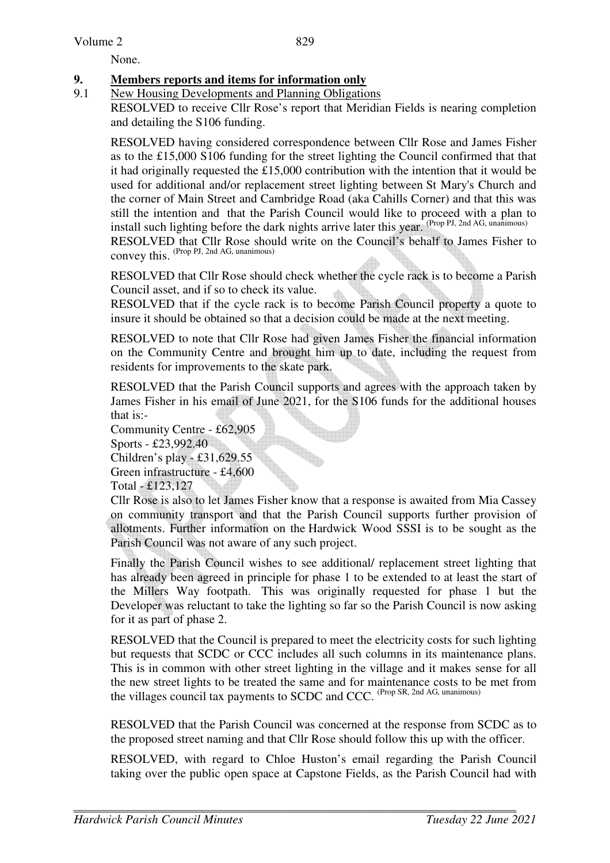Volume 2

None.

# **9. Members reports and items for information only**

9.1 New Housing Developments and Planning Obligations

RESOLVED to receive Cllr Rose's report that Meridian Fields is nearing completion and detailing the S106 funding.

RESOLVED having considered correspondence between Cllr Rose and James Fisher as to the £15,000 S106 funding for the street lighting the Council confirmed that that it had originally requested the £15,000 contribution with the intention that it would be used for additional and/or replacement street lighting between St Mary's Church and the corner of Main Street and Cambridge Road (aka Cahills Corner) and that this was still the intention and that the Parish Council would like to proceed with a plan to install such lighting before the dark nights arrive later this year. (Prop PJ, 2nd AG, unanimous)

RESOLVED that Cllr Rose should write on the Council's behalf to James Fisher to  $\frac{1}{2}$  convey this. (Prop PJ, 2nd AG, unanimous)

RESOLVED that Cllr Rose should check whether the cycle rack is to become a Parish Council asset, and if so to check its value.

RESOLVED that if the cycle rack is to become Parish Council property a quote to insure it should be obtained so that a decision could be made at the next meeting.

RESOLVED to note that Cllr Rose had given James Fisher the financial information on the Community Centre and brought him up to date, including the request from residents for improvements to the skate park.

RESOLVED that the Parish Council supports and agrees with the approach taken by James Fisher in his email of June 2021, for the S106 funds for the additional houses that is:-

Community Centre - £62,905 Sports - £23,992.40 Children's play - £31,629.55 Green infrastructure - £4,600 Total - £123,127

Cllr Rose is also to let James Fisher know that a response is awaited from Mia Cassey on community transport and that the Parish Council supports further provision of allotments. Further information on the Hardwick Wood SSSI is to be sought as the Parish Council was not aware of any such project.

Finally the Parish Council wishes to see additional/ replacement street lighting that has already been agreed in principle for phase 1 to be extended to at least the start of the Millers Way footpath. This was originally requested for phase 1 but the Developer was reluctant to take the lighting so far so the Parish Council is now asking for it as part of phase 2.

RESOLVED that the Council is prepared to meet the electricity costs for such lighting but requests that SCDC or CCC includes all such columns in its maintenance plans. This is in common with other street lighting in the village and it makes sense for all the new street lights to be treated the same and for maintenance costs to be met from the villages council tax payments to SCDC and CCC. (Prop SR, 2nd AG, unanimous)

RESOLVED that the Parish Council was concerned at the response from SCDC as to the proposed street naming and that Cllr Rose should follow this up with the officer.

RESOLVED, with regard to Chloe Huston's email regarding the Parish Council taking over the public open space at Capstone Fields, as the Parish Council had with